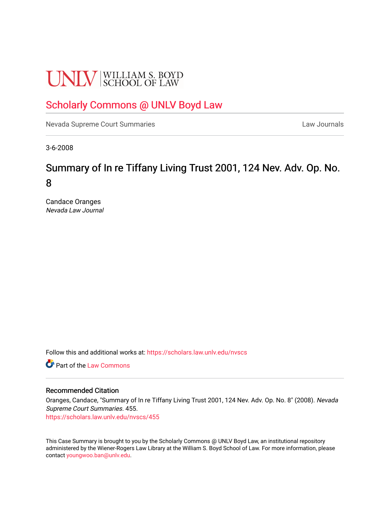# **UNLV** SCHOOL OF LAW

## [Scholarly Commons @ UNLV Boyd Law](https://scholars.law.unlv.edu/)

[Nevada Supreme Court Summaries](https://scholars.law.unlv.edu/nvscs) **Law Journals** Law Journals

3-6-2008

# Summary of In re Tiffany Living Trust 2001, 124 Nev. Adv. Op. No. 8

Candace Oranges Nevada Law Journal

Follow this and additional works at: [https://scholars.law.unlv.edu/nvscs](https://scholars.law.unlv.edu/nvscs?utm_source=scholars.law.unlv.edu%2Fnvscs%2F455&utm_medium=PDF&utm_campaign=PDFCoverPages)

**C** Part of the [Law Commons](http://network.bepress.com/hgg/discipline/578?utm_source=scholars.law.unlv.edu%2Fnvscs%2F455&utm_medium=PDF&utm_campaign=PDFCoverPages)

#### Recommended Citation

Oranges, Candace, "Summary of In re Tiffany Living Trust 2001, 124 Nev. Adv. Op. No. 8" (2008). Nevada Supreme Court Summaries. 455.

[https://scholars.law.unlv.edu/nvscs/455](https://scholars.law.unlv.edu/nvscs/455?utm_source=scholars.law.unlv.edu%2Fnvscs%2F455&utm_medium=PDF&utm_campaign=PDFCoverPages)

This Case Summary is brought to you by the Scholarly Commons @ UNLV Boyd Law, an institutional repository administered by the Wiener-Rogers Law Library at the William S. Boyd School of Law. For more information, please contact [youngwoo.ban@unlv.edu](mailto:youngwoo.ban@unlv.edu).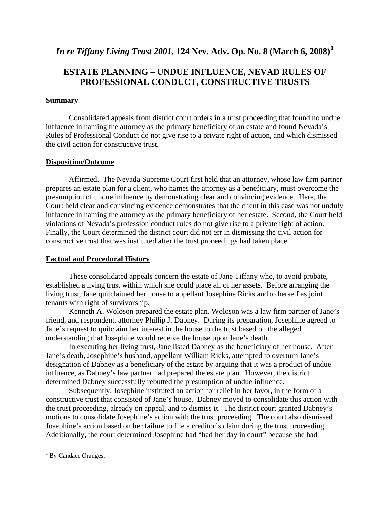### *In re Tiffany Living Trust 2001***, 124 Nev. Adv. Op. No. 8 (March 6, 2008)[1](#page-1-0)**

## **ESTATE PLANNING – UNDUE INFLUENCE, NEVAD RULES OF PROFESSIONAL CONDUCT, CONSTRUCTIVE TRUSTS**

#### **Summary**

Consolidated appeals from district court orders in a trust proceeding that found no undue influence in naming the attorney as the primary beneficiary of an estate and found Nevada's Rules of Professional Conduct do not give rise to a private right of action, and which dismissed the civil action for constructive trust.

#### **Disposition/Outcome**

Affirmed. The Nevada Supreme Court first held that an attorney, whose law firm partner prepares an estate plan for a client, who names the attorney as a beneficiary, must overcome the presumption of undue influence by demonstrating clear and convincing evidence. Here, the Court held clear and convincing evidence demonstrates that the client in this case was not unduly influence in naming the attorney as the primary beneficiary of her estate. Second, the Court held violations of Nevada's profession conduct rules do not give rise to a private right of action. Finally, the Court determined the district court did not err in dismissing the civil action for constructive trust that was instituted after the trust proceedings had taken place.

#### **Factual and Procedural History**

These consolidated appeals concern the estate of Jane Tiffany who, to avoid probate, established a living trust within which she could place all of her assets. Before arranging the living trust, Jane quitclaimed her house to appellant Josephine Ricks and to herself as joint tenants with right of survivorship.

 Kenneth A. Woloson prepared the estate plan. Woloson was a law firm partner of Jane's friend, and respondent, attorney Phillip J. Dabney. During its preparation, Josephine agreed to Jane's request to quitclaim her interest in the house to the trust based on the alleged understanding that Josephine would receive the house upon Jane's death.

 In executing her living trust, Jane listed Dabney as the beneficiary of her house. After Jane's death, Josephine's husband, appellant William Ricks, attempted to overturn Jane's designation of Dabney as a beneficiary of the estate by arguing that it was a product of undue influence, as Dabney's law partner had prepared the estate plan. However, the district determined Dabney successfully rebutted the presumption of undue influence.

 Subsequently, Josephine instituted an action for relief in her favor, in the form of a constructive trust that consisted of Jane's house. Dabney moved to consolidate this action with the trust proceeding, already on appeal, and to dismiss it. The district court granted Dabney's motions to consolidate Josephine's action with the trust proceeding. The court also dismissed Josephine's action based on her failure to file a creditor's claim during the trust proceeding. Additionally, the court determined Josephine had "had her day in court" because she had

 $\overline{a}$ 

<span id="page-1-0"></span><sup>&</sup>lt;sup>1</sup> By Candace Oranges.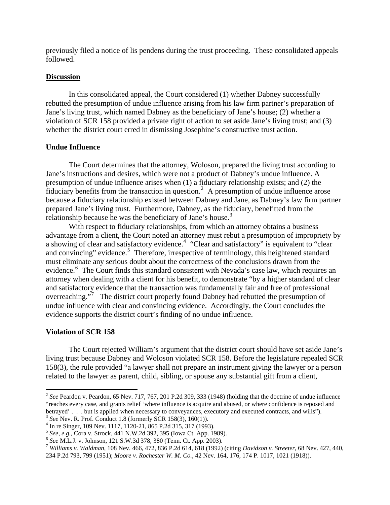previously filed a notice of lis pendens during the trust proceeding. These consolidated appeals followed.

#### **Discussion**

In this consolidated appeal, the Court considered (1) whether Dabney successfully rebutted the presumption of undue influence arising from his law firm partner's preparation of Jane's living trust, which named Dabney as the beneficiary of Jane's house; (2) whether a violation of SCR 158 provided a private right of action to set aside Jane's living trust; and (3) whether the district court erred in dismissing Josephine's constructive trust action.

#### **Undue Influence**

The Court determines that the attorney, Woloson, prepared the living trust according to Jane's instructions and desires, which were not a product of Dabney's undue influence. A presumption of undue influence arises when (1) a fiduciary relationship exists; and (2) the  $\frac{1}{2}$  $\frac{1}{2}$  $\frac{1}{2}$  fiduciary benefits from the transaction in question.<sup>2</sup> A presumption of undue influence arose because a fiduciary relationship existed between Dabney and Jane, as Dabney's law firm partner prepared Jane's living trust. Furthermore, Dabney, as the fiduciary, benefitted from the relationship because he was the beneficiary of Jane's house.<sup>[3](#page-2-1)</sup>

 With respect to fiduciary relationships, from which an attorney obtains a business advantage from a client, the Court noted an attorney must rebut a presumption of impropriety by a showing of clear and satisfactory evidence.<sup>[4](#page-2-2)</sup> "Clear and satisfactory" is equivalent to "clear and convincing" evidence.<sup>[5](#page-2-3)</sup> Therefore, irrespective of terminology, this heightened standard must eliminate any serious doubt about the correctness of the conclusions drawn from the evidence.<sup>[6](#page-2-4)</sup> The Court finds this standard consistent with Nevada's case law, which requires an attorney when dealing with a client for his benefit, to demonstrate "by a higher standard of clear and satisfactory evidence that the transaction was fundamentally fair and free of professional overreaching."<sup>[7](#page-2-5)</sup> The district court properly found Dabney had rebutted the presumption of undue influence with clear and convincing evidence. Accordingly, the Court concludes the evidence supports the district court's finding of no undue influence.

#### **Violation of SCR 158**

 $\overline{a}$ 

The Court rejected William's argument that the district court should have set aside Jane's living trust because Dabney and Woloson violated SCR 158. Before the legislature repealed SCR 158(3), the rule provided "a lawyer shall not prepare an instrument giving the lawyer or a person related to the lawyer as parent, child, sibling, or spouse any substantial gift from a client,

<span id="page-2-0"></span><sup>&</sup>lt;sup>2</sup> See Peardon v. Peardon, 65 Nev. 717, 767, 201 P.2d 309, 333 (1948) (holding that the doctrine of undue influence "reaches every case, and grants relief 'where influence is acquire and abused, or where confidence is reposed and betrayed' . . . but is applied when necessary to conveyances, executory and executed contracts, and wills"). <sup>3</sup> *See* Nev. R. Prof. Conduct 1.8 (formerly SCR 158(3), 160(1)).

<span id="page-2-2"></span><span id="page-2-1"></span><sup>&</sup>lt;sup>4</sup> In re Singer, 109 Nev. 1117, 1120-21, 865 P.2d 315, 317 (1993).<br><sup>5</sup> See, e.g., Cora v. Strock, 441 N.W.2d 392, 395 (Iowa Ct. App. 1989).

<span id="page-2-5"></span><span id="page-2-4"></span><span id="page-2-3"></span><sup>&</sup>lt;sup>6</sup> See M.L.J. v. Johnson, 121 S.W.3d 378, 380 (Tenn. Ct. App. 2003).<br><sup>7</sup> Williams v. Waldman, 108 Nev. 466, 472, 836 P.2d 614, 618 (1992) (citing Davidson v. Streeter, 68 Nev. 427, 440, 234 P.2d 793, 799 (1951); *Moore v. Rochester W. M. Co.,* 42 Nev. 164, 176, 174 P. 1017, 1021 (1918)).